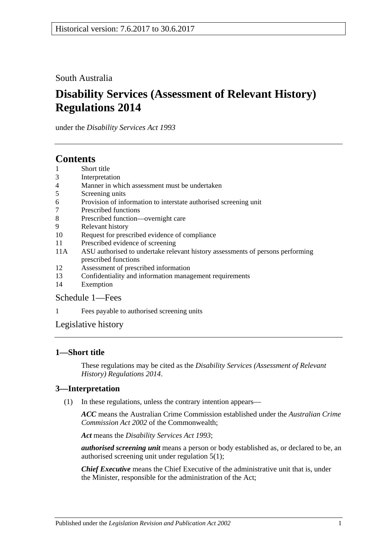South Australia

# **Disability Services (Assessment of Relevant History) Regulations 2014**

under the *Disability Services Act 1993*

# **Contents**

- 1 [Short title](#page-0-0)
- 3 [Interpretation](#page-0-1)
- 4 [Manner in which assessment must be undertaken](#page-1-0)
- 5 [Screening units](#page-1-1)
- 6 [Provision of information to interstate authorised screening unit](#page-1-2)
- 7 [Prescribed functions](#page-1-3)
- 8 [Prescribed function—overnight care](#page-2-0)
- 9 [Relevant history](#page-2-1)
- 10 [Request for prescribed evidence of compliance](#page-3-0)
- 11 [Prescribed evidence of screening](#page-3-1)
- 11A [ASU authorised to undertake relevant history assessments of persons performing](#page-3-2)  [prescribed functions](#page-3-2)
- 12 [Assessment of prescribed information](#page-3-3)
- 13 [Confidentiality and information management requirements](#page-4-0)
- 14 [Exemption](#page-4-1)

#### [Schedule](#page-5-0) 1—Fees

1 [Fees payable to authorised screening units](#page-5-1)

[Legislative history](#page-6-0)

#### <span id="page-0-0"></span>**1—Short title**

These regulations may be cited as the *Disability Services (Assessment of Relevant History) Regulations 2014*.

## <span id="page-0-1"></span>**3—Interpretation**

(1) In these regulations, unless the contrary intention appears—

*ACC* means the Australian Crime Commission established under the *Australian Crime Commission Act 2002* of the Commonwealth;

*Act* means the *[Disability Services Act](http://www.legislation.sa.gov.au/index.aspx?action=legref&type=act&legtitle=Disability%20Services%20Act%201993) 1993*;

*authorised screening unit* means a person or body established as, or declared to be, an authorised screening unit under [regulation](#page-1-4) 5(1);

*Chief Executive* means the Chief Executive of the administrative unit that is, under the Minister, responsible for the administration of the Act;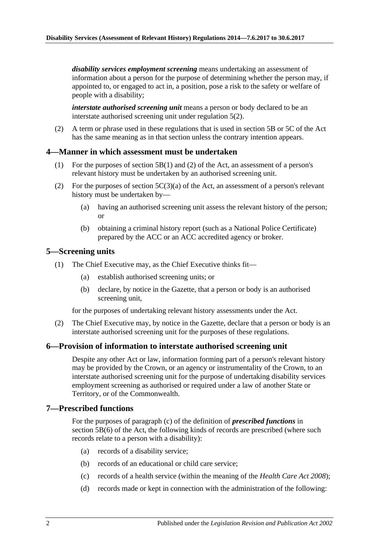*disability services employment screening* means undertaking an assessment of information about a person for the purpose of determining whether the person may, if appointed to, or engaged to act in, a position, pose a risk to the safety or welfare of people with a disability;

*interstate authorised screening unit* means a person or body declared to be an interstate authorised screening unit under [regulation](#page-1-5) 5(2).

(2) A term or phrase used in these regulations that is used in section 5B or 5C of the Act has the same meaning as in that section unless the contrary intention appears.

#### <span id="page-1-0"></span>**4—Manner in which assessment must be undertaken**

- (1) For the purposes of section 5B(1) and (2) of the Act, an assessment of a person's relevant history must be undertaken by an authorised screening unit.
- (2) For the purposes of section  $5C(3)(a)$  of the Act, an assessment of a person's relevant history must be undertaken by—
	- (a) having an authorised screening unit assess the relevant history of the person; or
	- (b) obtaining a criminal history report (such as a National Police Certificate) prepared by the ACC or an ACC accredited agency or broker.

#### <span id="page-1-4"></span><span id="page-1-1"></span>**5—Screening units**

- (1) The Chief Executive may, as the Chief Executive thinks fit—
	- (a) establish authorised screening units; or
	- (b) declare, by notice in the Gazette, that a person or body is an authorised screening unit,

for the purposes of undertaking relevant history assessments under the Act.

<span id="page-1-5"></span>(2) The Chief Executive may, by notice in the Gazette, declare that a person or body is an interstate authorised screening unit for the purposes of these regulations.

#### <span id="page-1-2"></span>**6—Provision of information to interstate authorised screening unit**

Despite any other Act or law, information forming part of a person's relevant history may be provided by the Crown, or an agency or instrumentality of the Crown, to an interstate authorised screening unit for the purpose of undertaking disability services employment screening as authorised or required under a law of another State or Territory, or of the Commonwealth.

#### <span id="page-1-3"></span>**7—Prescribed functions**

For the purposes of paragraph (c) of the definition of *prescribed functions* in section 5B(6) of the Act, the following kinds of records are prescribed (where such records relate to a person with a disability):

- (a) records of a disability service;
- (b) records of an educational or child care service;
- (c) records of a health service (within the meaning of the *[Health Care Act](http://www.legislation.sa.gov.au/index.aspx?action=legref&type=act&legtitle=Health%20Care%20Act%202008) 2008*);
- (d) records made or kept in connection with the administration of the following: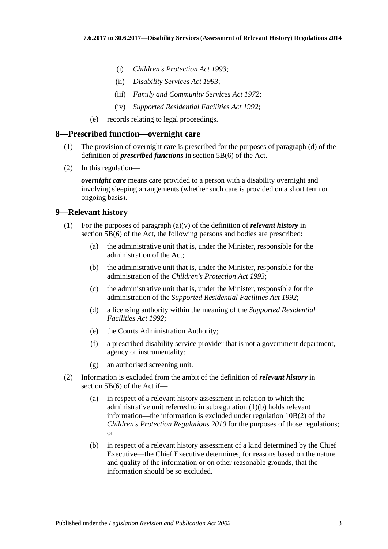- (i) *[Children's Protection Act](http://www.legislation.sa.gov.au/index.aspx?action=legref&type=act&legtitle=Childrens%20Protection%20Act%201993) 1993*;
- (ii) *[Disability Services Act](http://www.legislation.sa.gov.au/index.aspx?action=legref&type=act&legtitle=Disability%20Services%20Act%201993) 1993*;
- (iii) *[Family and Community Services Act](http://www.legislation.sa.gov.au/index.aspx?action=legref&type=act&legtitle=Family%20and%20Community%20Services%20Act%201972) 1972*;
- (iv) *[Supported Residential Facilities Act](http://www.legislation.sa.gov.au/index.aspx?action=legref&type=act&legtitle=Supported%20Residential%20Facilities%20Act%201992) 1992*;
- (e) records relating to legal proceedings.

#### <span id="page-2-0"></span>**8—Prescribed function—overnight care**

- (1) The provision of overnight care is prescribed for the purposes of paragraph (d) of the definition of *prescribed functions* in section 5B(6) of the Act.
- (2) In this regulation—

*overnight care* means care provided to a person with a disability overnight and involving sleeping arrangements (whether such care is provided on a short term or ongoing basis).

#### <span id="page-2-1"></span>**9—Relevant history**

- <span id="page-2-2"></span>(1) For the purposes of paragraph (a)(v) of the definition of *relevant history* in section 5B(6) of the Act, the following persons and bodies are prescribed:
	- (a) the administrative unit that is, under the Minister, responsible for the administration of the Act;
	- (b) the administrative unit that is, under the Minister, responsible for the administration of the *[Children's Protection Act](http://www.legislation.sa.gov.au/index.aspx?action=legref&type=act&legtitle=Childrens%20Protection%20Act%201993) 1993*;
	- (c) the administrative unit that is, under the Minister, responsible for the administration of the *[Supported Residential Facilities Act](http://www.legislation.sa.gov.au/index.aspx?action=legref&type=act&legtitle=Supported%20Residential%20Facilities%20Act%201992) 1992*;
	- (d) a licensing authority within the meaning of the *[Supported Residential](http://www.legislation.sa.gov.au/index.aspx?action=legref&type=act&legtitle=Supported%20Residential%20Facilities%20Act%201992)  [Facilities Act](http://www.legislation.sa.gov.au/index.aspx?action=legref&type=act&legtitle=Supported%20Residential%20Facilities%20Act%201992) 1992*;
	- (e) the Courts Administration Authority;
	- (f) a prescribed disability service provider that is not a government department, agency or instrumentality;
	- (g) an authorised screening unit.
- (2) Information is excluded from the ambit of the definition of *relevant history* in section 5B(6) of the Act if—
	- (a) in respect of a relevant history assessment in relation to which the administrative unit referred to in [subregulation](#page-2-2) (1)(b) holds relevant information—the information is excluded under regulation 10B(2) of the *[Children's Protection Regulations](http://www.legislation.sa.gov.au/index.aspx?action=legref&type=subordleg&legtitle=Childrens%20Protection%20Regulations%202010) 2010* for the purposes of those regulations; or
	- (b) in respect of a relevant history assessment of a kind determined by the Chief Executive—the Chief Executive determines, for reasons based on the nature and quality of the information or on other reasonable grounds, that the information should be so excluded.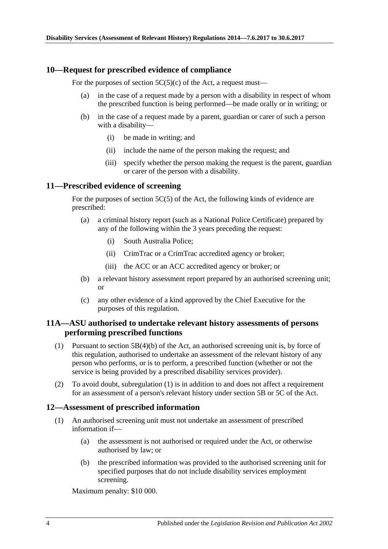#### <span id="page-3-0"></span>**10—Request for prescribed evidence of compliance**

For the purposes of section  $5C(5)(c)$  of the Act, a request must—

- (a) in the case of a request made by a person with a disability in respect of whom the prescribed function is being performed—be made orally or in writing; or
- (b) in the case of a request made by a parent, guardian or carer of such a person with a disability—
	- (i) be made in writing; and
	- (ii) include the name of the person making the request; and
	- (iii) specify whether the person making the request is the parent, guardian or carer of the person with a disability.

#### <span id="page-3-1"></span>**11—Prescribed evidence of screening**

For the purposes of section 5C(5) of the Act, the following kinds of evidence are prescribed:

- (a) a criminal history report (such as a National Police Certificate) prepared by any of the following within the 3 years preceding the request:
	- (i) South Australia Police;
	- (ii) CrimTrac or a CrimTrac accredited agency or broker;
	- (iii) the ACC or an ACC accredited agency or broker; or
- (b) a relevant history assessment report prepared by an authorised screening unit; or
- (c) any other evidence of a kind approved by the Chief Executive for the purposes of this regulation.

#### <span id="page-3-2"></span>**11A—ASU authorised to undertake relevant history assessments of persons performing prescribed functions**

- <span id="page-3-4"></span>(1) Pursuant to section 5B(4)(b) of the Act, an authorised screening unit is, by force of this regulation, authorised to undertake an assessment of the relevant history of any person who performs, or is to perform, a prescribed function (whether or not the service is being provided by a prescribed disability services provider).
- (2) To avoid doubt, [subregulation](#page-3-4) (1) is in addition to and does not affect a requirement for an assessment of a person's relevant history under section 5B or 5C of the Act.

#### <span id="page-3-3"></span>**12—Assessment of prescribed information**

- (1) An authorised screening unit must not undertake an assessment of prescribed information if—
	- (a) the assessment is not authorised or required under the Act, or otherwise authorised by law; or
	- (b) the prescribed information was provided to the authorised screening unit for specified purposes that do not include disability services employment screening.

Maximum penalty: \$10 000.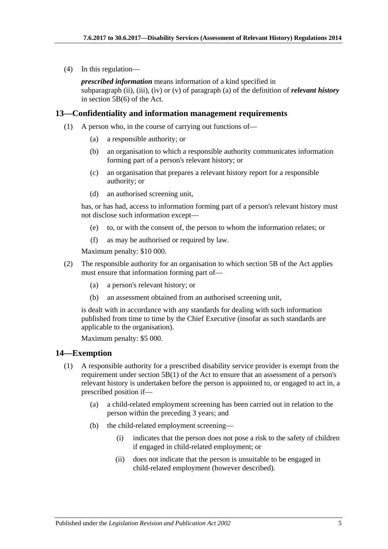(4) In this regulation—

*prescribed information* means information of a kind specified in subparagraph (ii), (iii), (iv) or (v) of paragraph (a) of the definition of *relevant history* in section 5B(6) of the Act.

#### <span id="page-4-0"></span>**13—Confidentiality and information management requirements**

- (1) A person who, in the course of carrying out functions of—
	- (a) a responsible authority; or
	- (b) an organisation to which a responsible authority communicates information forming part of a person's relevant history; or
	- (c) an organisation that prepares a relevant history report for a responsible authority; or
	- (d) an authorised screening unit,

has, or has had, access to information forming part of a person's relevant history must not disclose such information except—

- (e) to, or with the consent of, the person to whom the information relates; or
- (f) as may be authorised or required by law.

Maximum penalty: \$10 000.

- (2) The responsible authority for an organisation to which section 5B of the Act applies must ensure that information forming part of—
	- (a) a person's relevant history; or
	- (b) an assessment obtained from an authorised screening unit,

is dealt with in accordance with any standards for dealing with such information published from time to time by the Chief Executive (insofar as such standards are applicable to the organisation).

Maximum penalty: \$5 000.

#### <span id="page-4-1"></span>**14—Exemption**

- (1) A responsible authority for a prescribed disability service provider is exempt from the requirement under section 5B(1) of the Act to ensure that an assessment of a person's relevant history is undertaken before the person is appointed to, or engaged to act in, a prescribed position if—
	- (a) a child-related employment screening has been carried out in relation to the person within the preceding 3 years; and
	- (b) the child-related employment screening—
		- (i) indicates that the person does not pose a risk to the safety of children if engaged in child-related employment; or
		- (ii) does not indicate that the person is unsuitable to be engaged in child-related employment (however described).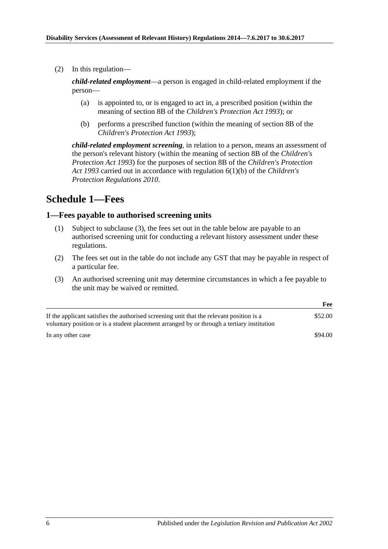(2) In this regulation—

*child-related employment*—a person is engaged in child-related employment if the person—

- (a) is appointed to, or is engaged to act in, a prescribed position (within the meaning of section 8B of the *[Children's Protection Act](http://www.legislation.sa.gov.au/index.aspx?action=legref&type=act&legtitle=Childrens%20Protection%20Act%201993) 1993*); or
- (b) performs a prescribed function (within the meaning of section 8B of the *[Children's Protection Act](http://www.legislation.sa.gov.au/index.aspx?action=legref&type=act&legtitle=Childrens%20Protection%20Act%201993) 1993*);

*child-related employment screening*, in relation to a person, means an assessment of the person's relevant history (within the meaning of section 8B of the *[Children's](http://www.legislation.sa.gov.au/index.aspx?action=legref&type=act&legtitle=Childrens%20Protection%20Act%201993)  [Protection Act](http://www.legislation.sa.gov.au/index.aspx?action=legref&type=act&legtitle=Childrens%20Protection%20Act%201993) 1993*) for the purposes of section 8B of the *[Children's Protection](http://www.legislation.sa.gov.au/index.aspx?action=legref&type=act&legtitle=Childrens%20Protection%20Act%201993)  Act [1993](http://www.legislation.sa.gov.au/index.aspx?action=legref&type=act&legtitle=Childrens%20Protection%20Act%201993)* carried out in accordance with regulation 6(1)(b) of the *[Children's](http://www.legislation.sa.gov.au/index.aspx?action=legref&type=subordleg&legtitle=Childrens%20Protection%20Regulations%202010)  [Protection Regulations](http://www.legislation.sa.gov.au/index.aspx?action=legref&type=subordleg&legtitle=Childrens%20Protection%20Regulations%202010) 2010*.

# <span id="page-5-0"></span>**Schedule 1—Fees**

#### <span id="page-5-1"></span>**1—Fees payable to authorised screening units**

- (1) Subject to [subclause](#page-5-2) (3), the fees set out in the table below are payable to an authorised screening unit for conducting a relevant history assessment under these regulations.
- (2) The fees set out in the table do not include any GST that may be payable in respect of a particular fee.
- <span id="page-5-2"></span>(3) An authorised screening unit may determine circumstances in which a fee payable to the unit may be waived or remitted.

|                                                                                                                                                                                        | Fee     |
|----------------------------------------------------------------------------------------------------------------------------------------------------------------------------------------|---------|
| If the applicant satisfies the authorised screening unit that the relevant position is a<br>voluntary position or is a student placement arranged by or through a tertiary institution | \$52.00 |
| In any other case                                                                                                                                                                      | \$94.00 |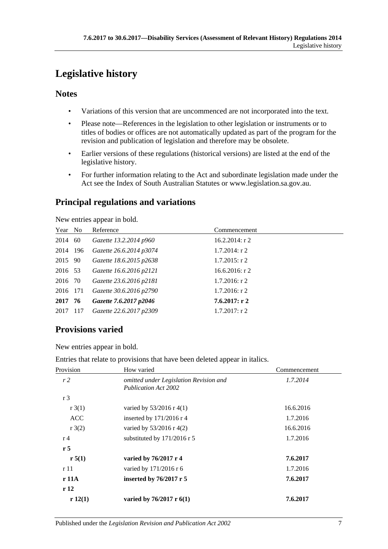# <span id="page-6-0"></span>**Legislative history**

### **Notes**

- Variations of this version that are uncommenced are not incorporated into the text.
- Please note—References in the legislation to other legislation or instruments or to titles of bodies or offices are not automatically updated as part of the program for the revision and publication of legislation and therefore may be obsolete.
- Earlier versions of these regulations (historical versions) are listed at the end of the legislative history.
- For further information relating to the Act and subordinate legislation made under the Act see the Index of South Australian Statutes or www.legislation.sa.gov.au.

# **Principal regulations and variations**

New entries appear in bold.

| Year No  | Reference               | Commencement      |
|----------|-------------------------|-------------------|
| 2014 60  | Gazette 13.2.2014 p960  | $16.2.2014$ : r 2 |
| 2014 196 | Gazette 26.6.2014 p3074 | $1.7.2014$ : r 2  |
| 2015 90  | Gazette 18.6.2015 p2638 | $1.7.2015$ : r 2  |
| 2016 53  | Gazette 16.6.2016 p2121 | 16.6.2016: $r$ 2  |
| 2016 70  | Gazette 23.6.2016 p2181 | $1.7.2016$ : r 2  |
| 2016 171 | Gazette 30.6.2016 p2790 | $1.7.2016$ : r 2  |
| 2017 76  | Gazette 7.6.2017 p2046  | 7.6.2017: r2      |
| 2017 117 | Gazette 22.6.2017 p2309 | $1.7.2017:$ r 2   |

# **Provisions varied**

New entries appear in bold.

Entries that relate to provisions that have been deleted appear in italics.

| Provision      | How varied                                                            | Commencement |
|----------------|-----------------------------------------------------------------------|--------------|
| r2             | omitted under Legislation Revision and<br><b>Publication Act 2002</b> | 1.7.2014     |
| r <sub>3</sub> |                                                                       |              |
| r3(1)          | varied by $53/2016$ r 4(1)                                            | 16.6.2016    |
| <b>ACC</b>     | inserted by $171/2016$ r 4                                            | 1.7.2016     |
| r3(2)          | varied by $53/2016$ r 4(2)                                            | 16.6.2016    |
| r <sub>4</sub> | substituted by 171/2016 r 5                                           | 1.7.2016     |
| r <sub>5</sub> |                                                                       |              |
| r 5(1)         | varied by 76/2017 r 4                                                 | 7.6.2017     |
| r 11           | varied by 171/2016 r 6                                                | 1.7.2016     |
| r 11A          | inserted by $76/2017$ r 5                                             | 7.6.2017     |
| r12            |                                                                       |              |
| r12(1)         | varied by $76/2017$ r $6(1)$                                          | 7.6.2017     |
|                |                                                                       |              |